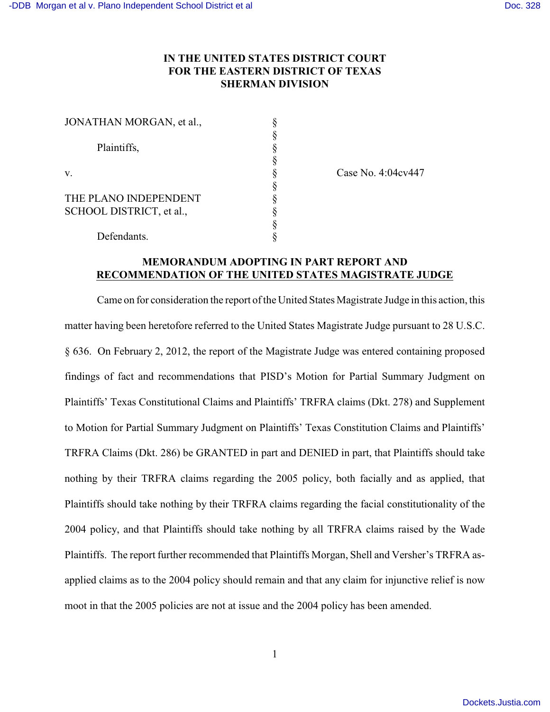## **IN THE UNITED STATES DISTRICT COURT FOR THE EASTERN DISTRICT OF TEXAS SHERMAN DIVISION**

| JONATHAN MORGAN, et al., |  |
|--------------------------|--|
| Plaintiffs,              |  |
| v.                       |  |
|                          |  |
| THE PLANO INDEPENDENT    |  |
| SCHOOL DISTRICT, et al., |  |
|                          |  |
| Defendants.              |  |

Case No. 4:04cv447

## **MEMORANDUM ADOPTING IN PART REPORT AND RECOMMENDATION OF THE UNITED STATES MAGISTRATE JUDGE**

Came on for consideration the report of the United States Magistrate Judge in this action, this matter having been heretofore referred to the United States Magistrate Judge pursuant to 28 U.S.C. § 636. On February 2, 2012, the report of the Magistrate Judge was entered containing proposed findings of fact and recommendations that PISD's Motion for Partial Summary Judgment on Plaintiffs' Texas Constitutional Claims and Plaintiffs' TRFRA claims (Dkt. 278) and Supplement to Motion for Partial Summary Judgment on Plaintiffs' Texas Constitution Claims and Plaintiffs' TRFRA Claims (Dkt. 286) be GRANTED in part and DENIED in part, that Plaintiffs should take nothing by their TRFRA claims regarding the 2005 policy, both facially and as applied, that Plaintiffs should take nothing by their TRFRA claims regarding the facial constitutionality of the 2004 policy, and that Plaintiffs should take nothing by all TRFRA claims raised by the Wade Plaintiffs. The report further recommended that Plaintiffs Morgan, Shell and Versher's TRFRA asapplied claims as to the 2004 policy should remain and that any claim for injunctive relief is now moot in that the 2005 policies are not at issue and the 2004 policy has been amended.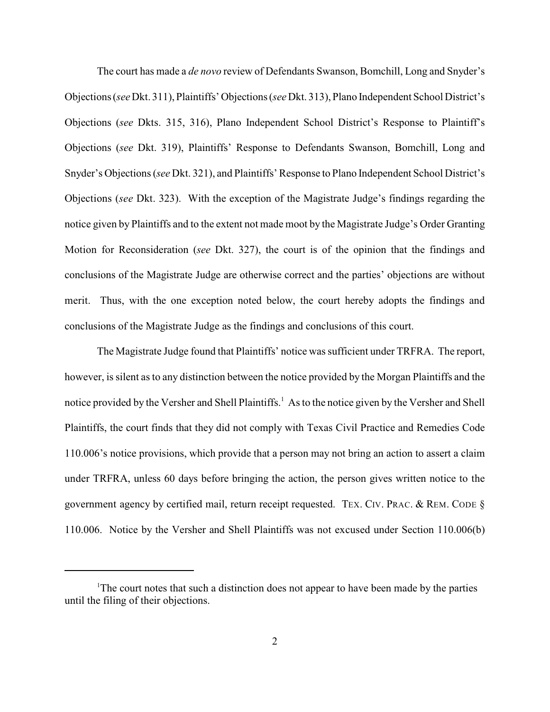The court has made a *de novo* review of Defendants Swanson, Bomchill, Long and Snyder's Objections (*see* Dkt. 311), Plaintiffs' Objections (*see* Dkt. 313), Plano Independent School District's Objections (*see* Dkts. 315, 316), Plano Independent School District's Response to Plaintiff's Objections (*see* Dkt. 319), Plaintiffs' Response to Defendants Swanson, Bomchill, Long and Snyder's Objections (*see* Dkt. 321), and Plaintiffs' Response to Plano Independent School District's Objections (*see* Dkt. 323). With the exception of the Magistrate Judge's findings regarding the notice given by Plaintiffs and to the extent not made moot by the Magistrate Judge's Order Granting Motion for Reconsideration (*see* Dkt. 327), the court is of the opinion that the findings and conclusions of the Magistrate Judge are otherwise correct and the parties' objections are without merit. Thus, with the one exception noted below, the court hereby adopts the findings and conclusions of the Magistrate Judge as the findings and conclusions of this court.

The Magistrate Judge found that Plaintiffs' notice was sufficient under TRFRA. The report, however, is silent as to any distinction between the notice provided by the Morgan Plaintiffs and the notice provided by the Versher and Shell Plaintiffs.<sup>1</sup> As to the notice given by the Versher and Shell Plaintiffs, the court finds that they did not comply with Texas Civil Practice and Remedies Code 110.006's notice provisions, which provide that a person may not bring an action to assert a claim under TRFRA, unless 60 days before bringing the action, the person gives written notice to the government agency by certified mail, return receipt requested. TEX. CIV. PRAC. & REM. CODE § 110.006. Notice by the Versher and Shell Plaintiffs was not excused under Section 110.006(b)

<sup>&</sup>lt;sup>1</sup>The court notes that such a distinction does not appear to have been made by the parties until the filing of their objections.